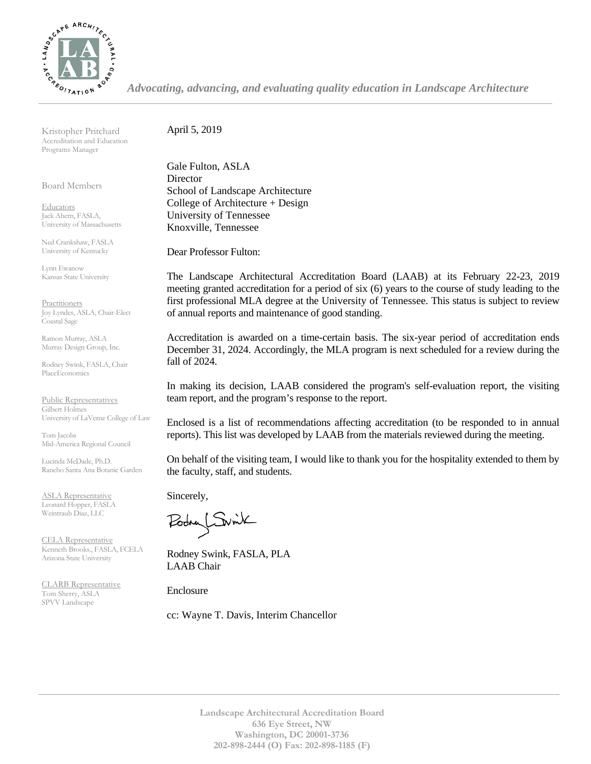

*Advocating, advancing, and evaluating quality education in Landscape Architecture*

Kristopher Pritchard Accreditation and Education Programs Manager

Board Members

**Educators** Jack Ahern, FASLA, University of Massachusetts

Ned Crankshaw, FASLA University of Kentucky

Lynn Ewanow Kansas State University

**Practitioners** Joy Lyndes, ASLA, Chair-Elect Coastal Sage

Ramon Murray, ASLA Murray Design Group, Inc.

Rodney Swink, FASLA, Chair PlaceEconomics

Public Representatives Gilbert Holmes University of LaVerne College of Law

Tom Jacobs Mid-America Regional Council

Lucinda McDade, Ph.D. Rancho Santa Ana Botanic Garden

ASLA Representative Leonard Hopper, FASLA Weintraub Diaz, LLC

CELA Representative Kenneth Brooks., FASLA, FCELA Arizona State University

CLARB Representative Tom Sherry, ASLA SPVV Landscape

April 5, 2019

Gale Fulton, ASLA Director School of Landscape Architecture College of Architecture + Design University of Tennessee Knoxville, Tennessee

Dear Professor Fulton:

The Landscape Architectural Accreditation Board (LAAB) at its February 22-23, 2019 meeting granted accreditation for a period of six (6) years to the course of study leading to the first professional MLA degree at the University of Tennessee. This status is subject to review of annual reports and maintenance of good standing.

Accreditation is awarded on a time-certain basis. The six-year period of accreditation ends December 31, 2024. Accordingly, the MLA program is next scheduled for a review during the fall of 2024.

In making its decision, LAAB considered the program's self-evaluation report, the visiting team report, and the program's response to the report.

Enclosed is a list of recommendations affecting accreditation (to be responded to in annual reports). This list was developed by LAAB from the materials reviewed during the meeting.

On behalf of the visiting team, I would like to thank you for the hospitality extended to them by the faculty, staff, and students.

Sincerely,

Podry Switch

Rodney Swink, FASLA, PLA LAAB Chair

Enclosure

cc: Wayne T. Davis, Interim Chancellor

**Landscape Architectural Accreditation Board 636 Eye Street, NW Washington, DC 20001-3736 202-898-2444 (O) Fax: 202-898-1185 (F)**